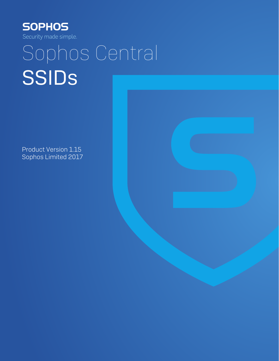

# Sophos Central SSIDs

Product Version 1.15 Sophos Limited 2017

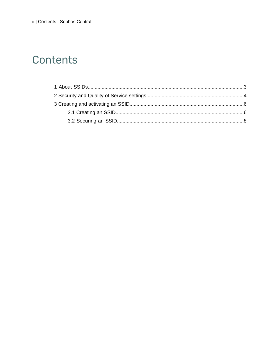### Contents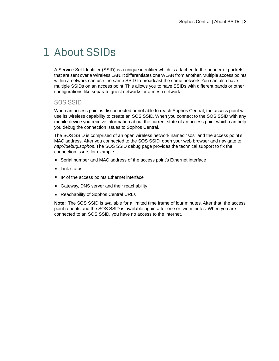## <span id="page-2-0"></span>1 About SSIDs

A Service Set Identifier (SSID) is a unique identifier which is attached to the header of packets that are sent over a Wireless LAN. It differentiates one WLAN from another. Multiple access points within a network can use the same SSID to broadcast the same network.You can also have multiple SSIDs on an access point. This allows you to have SSIDs with different bands or other configurations like separate guest networks or a mesh network.

#### SOS SSID

When an access point is disconnected or not able to reach Sophos Central, the access point will use its wireless capability to create an SOS SSID. When you connect to the SOS SSID with any mobile device you receive information about the current state of an access point which can help you debug the connection issues to Sophos Central.

The SOS SSID is comprised of an open wireless network named "sos" and the access point's MAC address. After you connected to the SOS SSID, open your web browser and navigate to *http://debug.sophos*. The SOS SSID debug page provides the technical support to fix the connection issue, for example:

- Serial number and MAC address of the access point's Ethernet interface
- **Link status**
- IP of the access points Ethernet interface
- Gateway, DNS server and their reachability
- **Reachability of Sophos Central URLs**

**Note:** The SOS SSID is available for a limited time frame of four minutes. After that, the access point reboots and the SOS SSID is available again after one or two minutes. When you are connected to an SOS SSID, you have no access to the internet.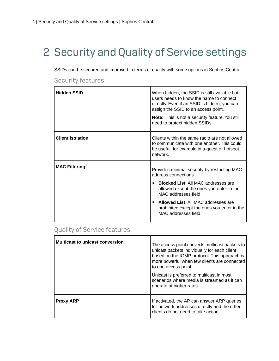# <span id="page-3-0"></span>2 Security and Quality of Service settings

SSIDs can be secured and improved in terms of quality with some options in Sophos Central.

| Hidden SSID             | When hidden, the SSID is still available but<br>users needs to know the name to connect<br>directly. Even if an SSID is hidden, you can<br>assign the SSID to an access point. |
|-------------------------|--------------------------------------------------------------------------------------------------------------------------------------------------------------------------------|
|                         | <b>Note:</b> This is not a security feature. You still<br>need to protect hidden SSIDs.                                                                                        |
| <b>Client isolation</b> | Clients within the same radio are not allowed<br>to communicate with one another. This could<br>be useful, for example in a guest or hotspot<br>network                        |
| <b>MAC Filtering</b>    | Provides minimal security by restricting MAC<br>address connections.                                                                                                           |
|                         | <b>Blocked List: All MAC addresses are</b><br>$\blacksquare$<br>allowed except the ones you enter in the<br>MAC addresses field.                                               |
|                         | <b>Allowed List: All MAC addresses are</b><br>$\blacksquare$<br>prohibited except the ones you enter in the<br>MAC addresses field.                                            |

#### Security features

#### Quality of Service features

| <b>Multicast to unicast conversion</b> | The access point converts multicast packets to<br>unicast packets individually for each client<br>based on the IGMP protocol. This approach is<br>more powerful when few clients are connected<br>to one access point.<br>Unicast is preferred to multicast in most<br>scenarios where media is streamed as it can<br>operate at higher rates. |
|----------------------------------------|------------------------------------------------------------------------------------------------------------------------------------------------------------------------------------------------------------------------------------------------------------------------------------------------------------------------------------------------|
| <b>Proxy ARP</b>                       | If activated, the AP can answer ARP queries<br>for network addresses directly and the other<br>clients do not need to take action.                                                                                                                                                                                                             |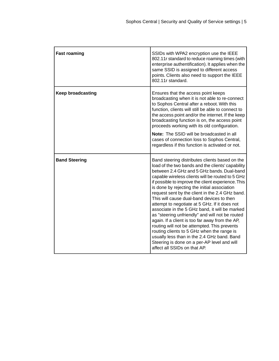| <b>Fast roaming</b>      | SSIDs with WPA2 encryption use the IEEE<br>802.11r standard to reduce roaming times (with<br>enterprise authentification). It applies when the<br>same SSID is assigned to different access<br>points. Clients also need to support the IEEE<br>802.11r standard.                                                                                                                                                                                                                                                                                                                                                                                                                                                                                                                                                                                |
|--------------------------|--------------------------------------------------------------------------------------------------------------------------------------------------------------------------------------------------------------------------------------------------------------------------------------------------------------------------------------------------------------------------------------------------------------------------------------------------------------------------------------------------------------------------------------------------------------------------------------------------------------------------------------------------------------------------------------------------------------------------------------------------------------------------------------------------------------------------------------------------|
| <b>Keep broadcasting</b> | Ensures that the access point keeps<br>broadcasting when it is not able to re-connect<br>to Sophos Central after a reboot. With this<br>function, clients will still be able to connect to<br>the access point and/or the internet. If the keep<br>broadcasting function is on, the access point<br>proceeds working with its old configuration.                                                                                                                                                                                                                                                                                                                                                                                                                                                                                                 |
|                          | Note: The SSID will be broadcasted in all<br>cases of connection loss to Sophos Central,<br>regardless if this function is activated or not.                                                                                                                                                                                                                                                                                                                                                                                                                                                                                                                                                                                                                                                                                                     |
| <b>Band Steering</b>     | Band steering distributes clients based on the<br>load of the two bands and the clients' capability<br>between 2.4 GHz and 5 GHz bands, Dual-band<br>capable wireless clients will be routed to 5 GHz<br>if possible to improve the client experience. This<br>is done by rejecting the initial association<br>request sent by the client in the 2.4 GHz band.<br>This will cause dual-band devices to then<br>attempt to negotiate at 5 GHz. If it does not<br>associate in the 5 GHz band, it will be marked<br>as "steering unfriendly" and will not be routed<br>again. If a client is too far away from the AP,<br>routing will not be attempted. This prevents<br>routing clients to 5 GHz when the range is<br>usually less than in the 2.4 GHz band. Band<br>Steering is done on a per-AP level and will<br>affect all SSIDs on that AP. |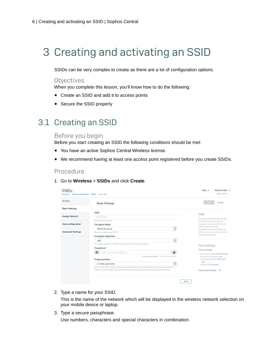## <span id="page-5-0"></span>3 Creating and activating an SSID

SSIDs can be very complex to create as there are a lot of configuration options.

#### **Objectives**

When you complete this lesson, you'll know how to do the following:

- Create an SSID and add it to access points
- Secure the SSID properly

### <span id="page-5-1"></span>3.1 Creating an SSID

#### Before you begin

Before you start creating an SSID the following conditions should be met:

- You have an active Sophos Central Wireless license.
- We recommend having at least one access point registered before you create SSIDs.

#### Procedure

1. Go to **Wireless** > **SSIDs** and click **Create**.

| <b>DETAILS</b>           | <b>Basic Settings</b>                                                                               | <b>Seve</b><br>Cancel                                         |
|--------------------------|-----------------------------------------------------------------------------------------------------|---------------------------------------------------------------|
| <b>Besie Settings</b>    |                                                                                                     |                                                               |
|                          | SSID*                                                                                               | Help                                                          |
| <b>Assign Network</b>    | SSID Name                                                                                           | Specify the general settings for your                         |
|                          | Name for the network.                                                                               | new SSD. Choose the required                                  |
| Seve configuration       | <b>Encryption Mode</b>                                                                              | encryption mode and which kind of<br>SSD you went to provide. |
| <b>Advanced Settings</b> | M<br>WPA2-Personal                                                                                  | We recommend to use WPA2 with                                 |
|                          | We recommend to use WRA2                                                                            | AES as encryption mode and 2.4 and                            |
|                          | <b>Encryption Algorithm</b>                                                                         | 5 OHz frequency band.                                         |
|                          | kel.<br><b>AFS</b>                                                                                  |                                                               |
|                          | The default algorithm is AES. It is recommended for security reasons.                               | Your Settings                                                 |
|                          | Passphrase*                                                                                         | <b>Basic Settings</b>                                         |
|                          | 扇<br>ob i<br>Enter a secure passphrase.                                                             | · Encryation Made WPA2-Personal                               |
|                          | Password strangth: ==========                                                                       | · Encryation Algorithm AES                                    |
|                          | <b>Frequency Band</b>                                                                               | · Frequency Band 2.4 GHz and 5                                |
|                          | 2.4 GHz and 5 GHz<br>w                                                                              | GHz<br>· Enable SSID Enabled                                  |
|                          | Limit the bands the network should be broadcasted on. This might restrict the APs you broadcast the |                                                               |
|                          | SSE on as some models can only broadcast on specific bands or not all bands at the same time.       | Advanced Settings A                                           |

2. Type a name for your SSID.

This is the name of the network which will be displayed in the wireless network selection on your mobile device or laptop.

3. Type a secure passphrase.

Use numbers, characters and special characters in combination.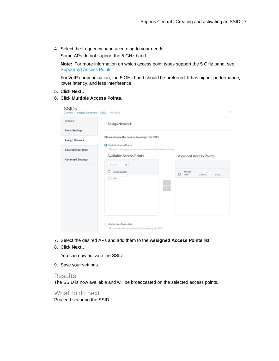4. Select the frequency band according to your needs.

Some APs do not support the 5 GHz band.

**Note:** For more information on which access point types support the 5 GHz band, see [Supported Access Points.](http://docs.sophos.com/sophos-cloud/customer-dashboard/help/en-us/webhelp/index.htm#general/SupportedAccessPoints.htm)

For VoIP communication, the 5 GHz band should be preferred. It has higher performance, lower latency, and less interference.

- 5. Click **Next.**.
- 6. Click **Multiple Access Points**.

| <b>DETAILS</b>           | Assign Network                                                                                  |                                                       |
|--------------------------|-------------------------------------------------------------------------------------------------|-------------------------------------------------------|
| <b>Basic Settings</b>    |                                                                                                 |                                                       |
| <b>Assign Network</b>    | Please choose the devices to assign this SSID.                                                  |                                                       |
| Save configuration       | Multiple Access Points<br>APs which are registered at a later time need to be added explicitly. |                                                       |
| <b>Advanced Settings</b> | <b>Available Access Points</b>                                                                  | Assigned Access Points                                |
|                          | Search<br>Q                                                                                     |                                                       |
|                          | □<br><b>ACCESS POINT</b>                                                                        | <b>ACCESS</b><br>о<br><b>POINT</b><br>24 6 17<br>5642 |
|                          | П.<br>AP <sub>2</sub><br>$\frac{2}{\epsilon}$                                                   |                                                       |
|                          |                                                                                                 |                                                       |

- 7. Select the desired APs and add them to the **Assigned Access Points** list.
- 8. Click **Next.**.

You can now activate the SSID.

9. Save your settings.

#### Results

The SSID is now available and will be broadcasted on the selected access points.

What to do next Proceed securing the SSID.